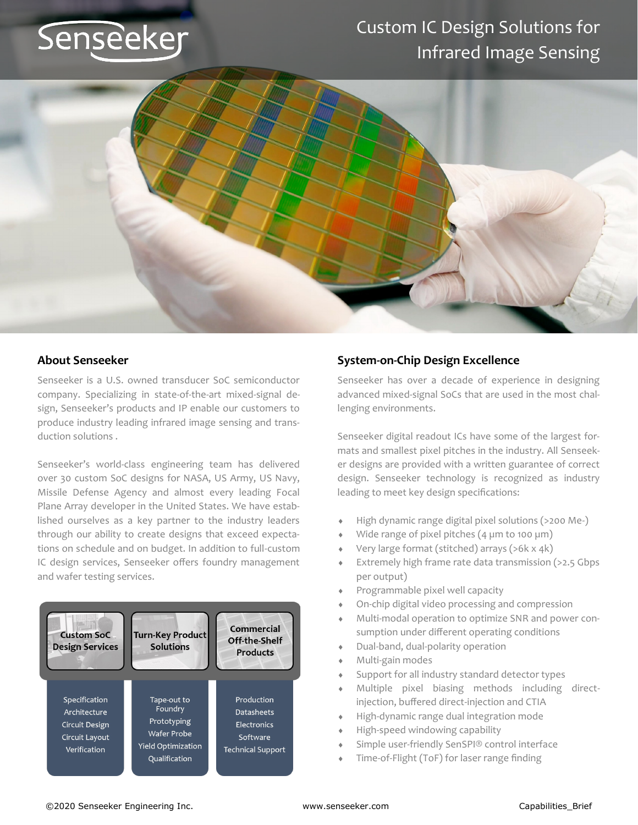# Senseeker

### Custom IC Design Solutions for Infrared Image Sensing



### **About Senseeker**

Senseeker is a U.S. owned transducer SoC semiconductor company. Specializing in state-of-the-art mixed-signal design, Senseeker's products and IP enable our customers to produce industry leading infrared image sensing and transduction solutions .

Senseeker's world-class engineering team has delivered over 30 custom SoC designs for NASA, US Army, US Navy, Missile Defense Agency and almost every leading Focal Plane Array developer in the United States. We have established ourselves as a key partner to the industry leaders through our ability to create designs that exceed expectations on schedule and on budget. In addition to full-custom IC design services, Senseeker offers foundry management and wafer testing services.



### **System-on-Chip Design Excellence**

Senseeker has over a decade of experience in designing advanced mixed-signal SoCs that are used in the most challenging environments.

Senseeker digital readout ICs have some of the largest formats and smallest pixel pitches in the industry. All Senseeker designs are provided with a written guarantee of correct design. Senseeker technology is recognized as industry leading to meet key design specifications:

- High dynamic range digital pixel solutions (>200 Me-)
- Wide range of pixel pitches (4 um to 100 um)
- Very large format (stitched) arrays (>6k x 4k)
- Extremely high frame rate data transmission (>2.5 Gbps per output)
- Programmable pixel well capacity
- On-chip digital video processing and compression
- Multi-modal operation to optimize SNR and power consumption under different operating conditions
- Dual-band, dual-polarity operation
- Multi-gain modes
- Support for all industry standard detector types
- Multiple pixel biasing methods including directinjection, buffered direct-injection and CTIA
- High-dynamic range dual integration mode
- High-speed windowing capability
- Simple user-friendly SenSPI® control interface
- Time-of-Flight (ToF) for laser range finding